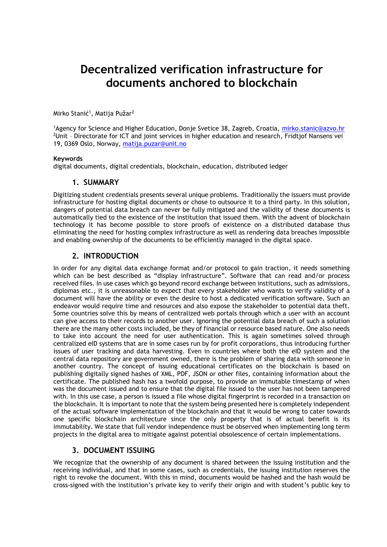# **Decentralized verification infrastructure for documents anchored to blockchain**

Mirko Stanić<sup>1</sup>, Matija Pužar<sup>2</sup>

1Agency for Science and Higher Education, Donje Svetice 38, Zagreb, Croatia, [mirko.stanic@azvo.hr](mailto:mirko.stanic@azvo.hr)  $2$ Unit - Directorate for ICT and joint services in higher education and research, Fridtjof Nansens vei 19, 0369 Oslo, Norway, [matija.puzar@unit.no](mailto:matija.puzar@unit.no)

#### **Keywords**

digital documents, digital credentials, blockchain, education, distributed ledger

#### **1. SUMMARY**

Digitizing student credentials presents several unique problems. Traditionally the issuers must provide infrastructure for hosting digital documents or chose to outsource it to a third party. In this solution, dangers of potential data breach can never be fully mitigated and the validity of these documents is automatically tied to the existence of the institution that issued them. With the advent of blockchain technology it has become possible to store proofs of existence on a distributed database thus eliminating the need for hosting complex infrastructure as well as rendering data breaches impossible and enabling ownership of the documents to be efficiently managed in the digital space.

## **2. INTRODUCTION**

In order for any digital data exchange format and/or protocol to gain traction, it needs something which can be best described as "display infrastructure". Software that can read and/or process received files. In use cases which go beyond record exchange between institutions, such as admissions, diplomas etc., it is unreasonable to expect that every stakeholder who wants to verify validity of a document will have the ability or even the desire to host a dedicated verification software. Such an endeavor would require time and resources and also expose the stakeholder to potential data theft. Some countries solve this by means of centralized web portals through which a user with an account can give access to their records to another user. Ignoring the potential data breach of such a solution there are the many other costs included, be they of financial or resource based nature. One also needs to take into account the need for user authentication. This is again sometimes solved through centralized eID systems that are in some cases run by for profit corporations, thus introducing further issues of user tracking and data harvesting. Even in countries where both the eID system and the central data repository are government owned, there is the problem of sharing data with someone in another country. The concept of issuing educational certificates on the blockchain is based on publishing digitally signed hashes of XML, PDF, JSON or other files, containing information about the certificate. The published hash has a twofold purpose, to provide an immutable timestamp of when was the document issued and to ensure that the digital file issued to the user has not been tampered with. In this use case, a person is issued a file whose digital fingerprint is recorded in a transaction on the blockchain. It is important to note that the system being presented here is completely independent of the actual software implementation of the blockchain and that it would be wrong to cater towards one specific blockchain architecture since the only property that is of actual benefit is its immutability. We state that full vendor independence must be observed when implementing long term projects in the digital area to mitigate against potential obsolescence of certain implementations.

### **3. DOCUMENT ISSUING**

We recognize that the ownership of any document is shared between the issuing institution and the receiving individual, and that in some cases, such as credentials, the issuing institution reserves the right to revoke the document. With this in mind, documents would be hashed and the hash would be cross-signed with the institution's private key to verify their origin and with student's public key to